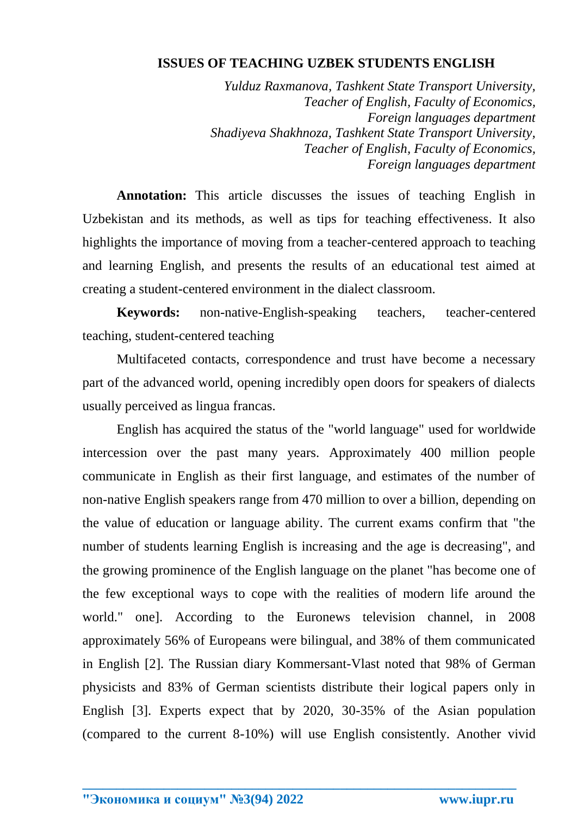## **ISSUES OF TEACHING UZBEK STUDENTS ENGLISH**

*Yulduz Raxmanova, Tashkent State Transport University, Teacher of English, Faculty of Economics, Foreign languages department Shadiyeva Shakhnoza, Tashkent State Transport University, Teacher of English, Faculty of Economics, Foreign languages department* 

**Annotation:** This article discusses the issues of teaching English in Uzbekistan and its methods, as well as tips for teaching effectiveness. It also highlights the importance of moving from a teacher-centered approach to teaching and learning English, and presents the results of an educational test aimed at creating a student-centered environment in the dialect classroom.

**Keywords:** non-native-English-speaking teachers, teacher-centered teaching, student-centered teaching

Multifaceted contacts, correspondence and trust have become a necessary part of the advanced world, opening incredibly open doors for speakers of dialects usually perceived as lingua francas.

English has acquired the status of the "world language" used for worldwide intercession over the past many years. Approximately 400 million people communicate in English as their first language, and estimates of the number of non-native English speakers range from 470 million to over a billion, depending on the value of education or language ability. The current exams confirm that "the number of students learning English is increasing and the age is decreasing", and the growing prominence of the English language on the planet "has become one of the few exceptional ways to cope with the realities of modern life around the world." one]. According to the Euronews television channel, in 2008 approximately 56% of Europeans were bilingual, and 38% of them communicated in English [2]. The Russian diary Kommersant-Vlast noted that 98% of German physicists and 83% of German scientists distribute their logical papers only in English [3]. Experts expect that by 2020, 30-35% of the Asian population (compared to the current 8-10%) will use English consistently. Another vivid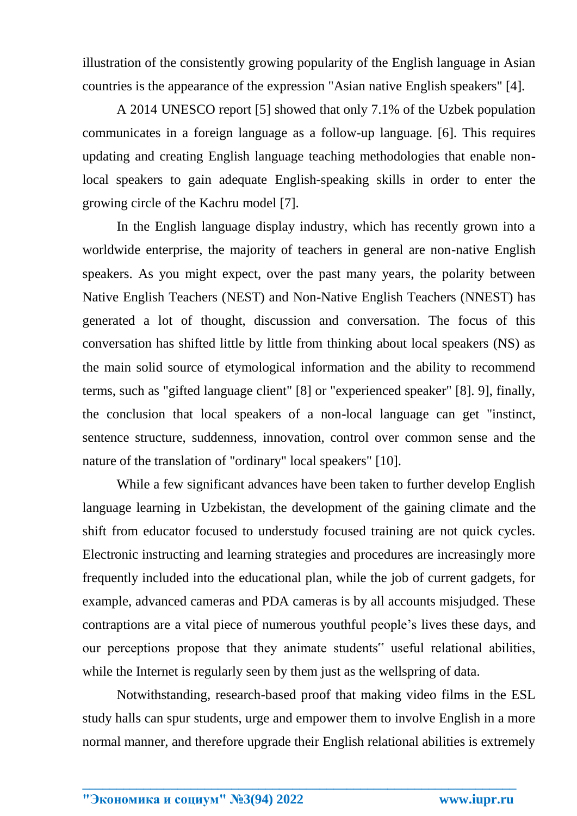illustration of the consistently growing popularity of the English language in Asian countries is the appearance of the expression "Asian native English speakers" [4].

A 2014 UNESCO report [5] showed that only 7.1% of the Uzbek population communicates in a foreign language as a follow-up language. [6]. This requires updating and creating English language teaching methodologies that enable nonlocal speakers to gain adequate English-speaking skills in order to enter the growing circle of the Kachru model [7].

In the English language display industry, which has recently grown into a worldwide enterprise, the majority of teachers in general are non-native English speakers. As you might expect, over the past many years, the polarity between Native English Teachers (NEST) and Non-Native English Teachers (NNEST) has generated a lot of thought, discussion and conversation. The focus of this conversation has shifted little by little from thinking about local speakers (NS) as the main solid source of etymological information and the ability to recommend terms, such as "gifted language client" [8] or "experienced speaker" [8]. 9], finally, the conclusion that local speakers of a non-local language can get "instinct, sentence structure, suddenness, innovation, control over common sense and the nature of the translation of "ordinary" local speakers" [10].

While a few significant advances have been taken to further develop English language learning in Uzbekistan, the development of the gaining climate and the shift from educator focused to understudy focused training are not quick cycles. Electronic instructing and learning strategies and procedures are increasingly more frequently included into the educational plan, while the job of current gadgets, for example, advanced cameras and PDA cameras is by all accounts misjudged. These contraptions are a vital piece of numerous youthful people's lives these days, and our perceptions propose that they animate students" useful relational abilities, while the Internet is regularly seen by them just as the wellspring of data.

Notwithstanding, research-based proof that making video films in the ESL study halls can spur students, urge and empower them to involve English in a more normal manner, and therefore upgrade their English relational abilities is extremely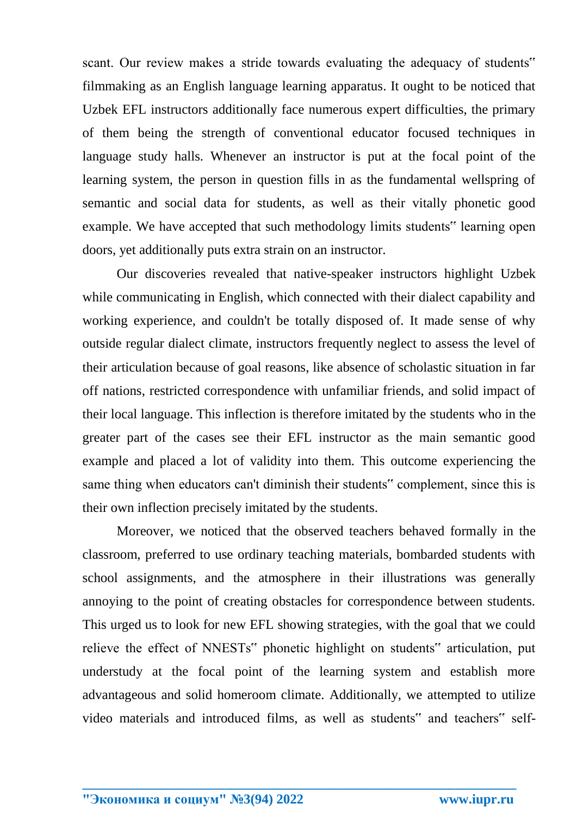scant. Our review makes a stride towards evaluating the adequacy of students" filmmaking as an English language learning apparatus. It ought to be noticed that Uzbek EFL instructors additionally face numerous expert difficulties, the primary of them being the strength of conventional educator focused techniques in language study halls. Whenever an instructor is put at the focal point of the learning system, the person in question fills in as the fundamental wellspring of semantic and social data for students, as well as their vitally phonetic good example. We have accepted that such methodology limits students" learning open doors, yet additionally puts extra strain on an instructor.

Our discoveries revealed that native-speaker instructors highlight Uzbek while communicating in English, which connected with their dialect capability and working experience, and couldn't be totally disposed of. It made sense of why outside regular dialect climate, instructors frequently neglect to assess the level of their articulation because of goal reasons, like absence of scholastic situation in far off nations, restricted correspondence with unfamiliar friends, and solid impact of their local language. This inflection is therefore imitated by the students who in the greater part of the cases see their EFL instructor as the main semantic good example and placed a lot of validity into them. This outcome experiencing the same thing when educators can't diminish their students" complement, since this is their own inflection precisely imitated by the students.

Moreover, we noticed that the observed teachers behaved formally in the classroom, preferred to use ordinary teaching materials, bombarded students with school assignments, and the atmosphere in their illustrations was generally annoying to the point of creating obstacles for correspondence between students. This urged us to look for new EFL showing strategies, with the goal that we could relieve the effect of NNESTs" phonetic highlight on students" articulation, put understudy at the focal point of the learning system and establish more advantageous and solid homeroom climate. Additionally, we attempted to utilize video materials and introduced films, as well as students" and teachers" self-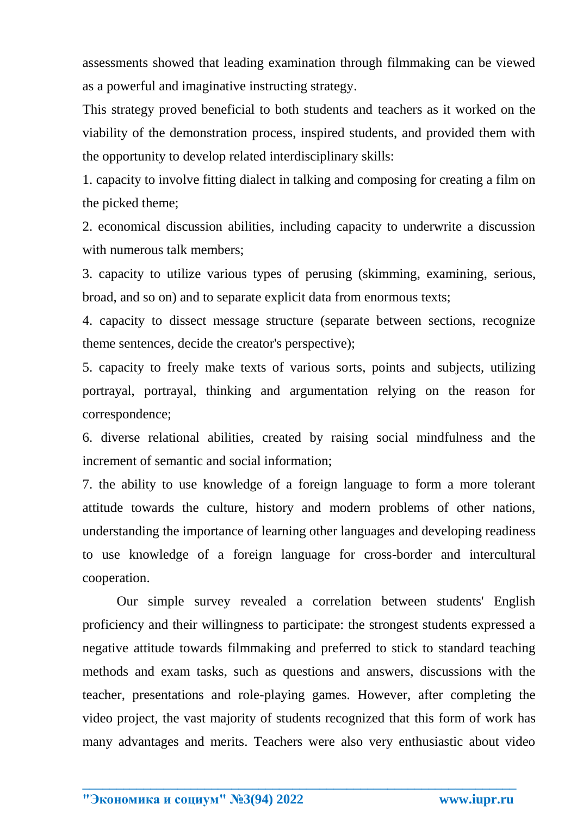assessments showed that leading examination through filmmaking can be viewed as a powerful and imaginative instructing strategy.

This strategy proved beneficial to both students and teachers as it worked on the viability of the demonstration process, inspired students, and provided them with the opportunity to develop related interdisciplinary skills:

1. capacity to involve fitting dialect in talking and composing for creating a film on the picked theme;

2. economical discussion abilities, including capacity to underwrite a discussion with numerous talk members;

3. capacity to utilize various types of perusing (skimming, examining, serious, broad, and so on) and to separate explicit data from enormous texts;

4. capacity to dissect message structure (separate between sections, recognize theme sentences, decide the creator's perspective);

5. capacity to freely make texts of various sorts, points and subjects, utilizing portrayal, portrayal, thinking and argumentation relying on the reason for correspondence;

6. diverse relational abilities, created by raising social mindfulness and the increment of semantic and social information;

7. the ability to use knowledge of a foreign language to form a more tolerant attitude towards the culture, history and modern problems of other nations, understanding the importance of learning other languages and developing readiness to use knowledge of a foreign language for cross-border and intercultural cooperation.

Our simple survey revealed a correlation between students' English proficiency and their willingness to participate: the strongest students expressed a negative attitude towards filmmaking and preferred to stick to standard teaching methods and exam tasks, such as questions and answers, discussions with the teacher, presentations and role-playing games. However, after completing the video project, the vast majority of students recognized that this form of work has many advantages and merits. Teachers were also very enthusiastic about video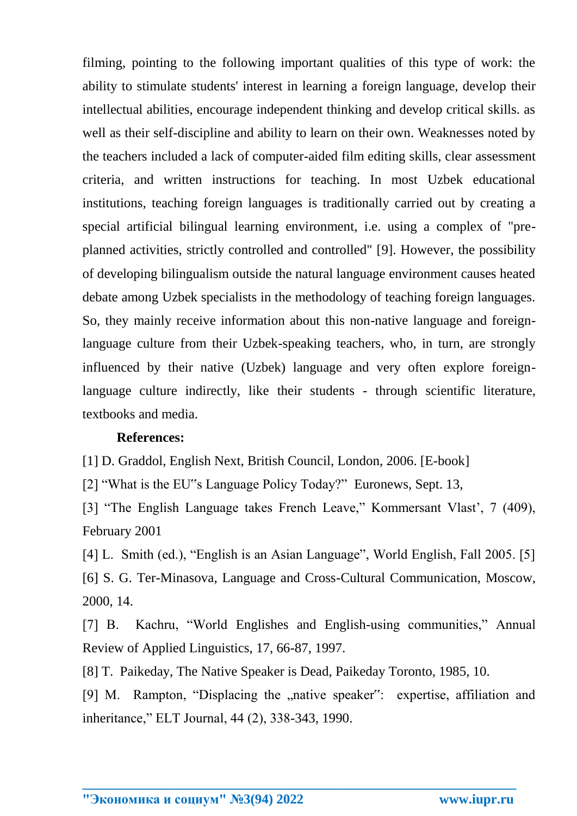filming, pointing to the following important qualities of this type of work: the ability to stimulate students' interest in learning a foreign language, develop their intellectual abilities, encourage independent thinking and develop critical skills. as well as their self-discipline and ability to learn on their own. Weaknesses noted by the teachers included a lack of computer-aided film editing skills, clear assessment criteria, and written instructions for teaching. In most Uzbek educational institutions, teaching foreign languages is traditionally carried out by creating a special artificial bilingual learning environment, i.e. using a complex of "preplanned activities, strictly controlled and controlled" [9]. However, the possibility of developing bilingualism outside the natural language environment causes heated debate among Uzbek specialists in the methodology of teaching foreign languages. So, they mainly receive information about this non-native language and foreignlanguage culture from their Uzbek-speaking teachers, who, in turn, are strongly influenced by their native (Uzbek) language and very often explore foreignlanguage culture indirectly, like their students - through scientific literature, textbooks and media.

## **References:**

[1] D. Graddol, English Next, British Council, London, 2006. [E-book]

[2] "What is the EU"s Language Policy Today?" Euronews, Sept. 13,

[3] "The English Language takes French Leave," Kommersant Vlast', 7 (409), February 2001

[4] L. Smith (ed.), "English is an Asian Language", World English, Fall 2005. [5] [6] S. G. Ter-Minasova, Language and Cross-Cultural Communication, Moscow, 2000, 14.

[7] B. Kachru, "World Englishes and English-using communities," Annual Review of Applied Linguistics, 17, 66-87, 1997.

[8] T. Paikeday, The Native Speaker is Dead, Paikeday Toronto, 1985, 10.

[9] M. Rampton, "Displacing the "native speaker": expertise, affiliation and inheritance," ELT Journal, 44 (2), 338-343, 1990.